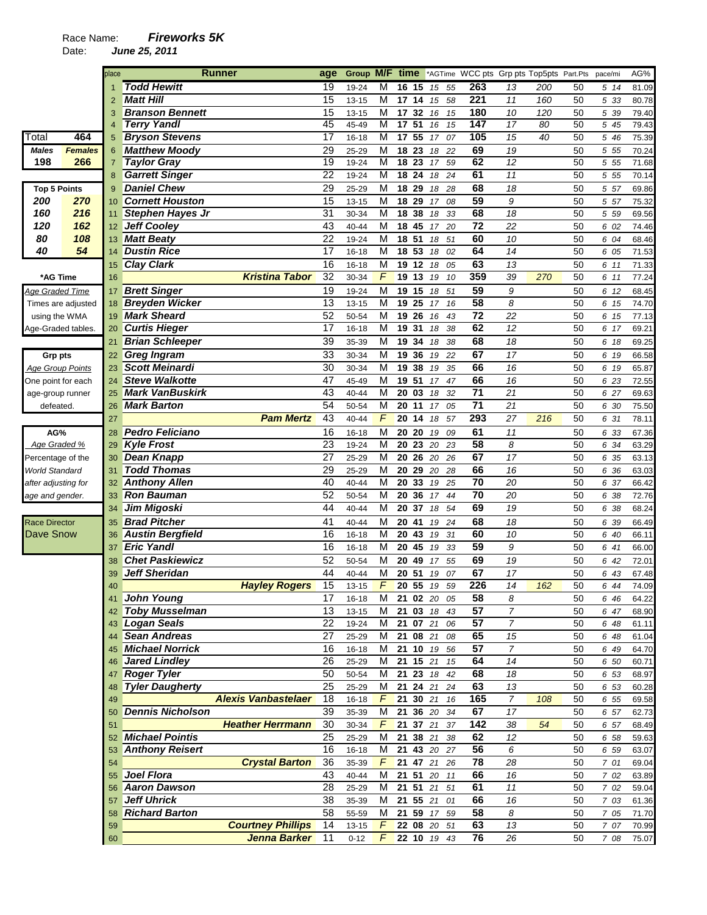|                         |                | place          | <b>Runner</b>                                         | age             |                |                 | Group M/F time                     | *AGTime WCC pts Grp pts Top5pts Part.Pts |                 |                      |     |          | pace/mi          | AG%            |
|-------------------------|----------------|----------------|-------------------------------------------------------|-----------------|----------------|-----------------|------------------------------------|------------------------------------------|-----------------|----------------------|-----|----------|------------------|----------------|
|                         |                |                | <b>Todd Hewitt</b>                                    | 19              | 19-24          | M               | 16<br>15                           | 55<br>15                                 | 263             | 13                   | 200 | 50       | 5 14             | 81.09          |
|                         |                | $\overline{2}$ | <b>Matt Hill</b>                                      | 15              | 13-15          | M               | 17 14                              | 15<br>58                                 | 221             | 11                   | 160 | 50       | 5 33             | 80.78          |
|                         |                | 3              | <b>Branson Bennett</b>                                | 15              | 13-15          | M               | 32<br>17 <sub>2</sub>              | 15<br>16                                 | 180             | 10                   | 120 | 50       | 5 39             | 79.40          |
|                         |                | 4              | <b>Terry Yandl</b>                                    | 45              | 45-49          | M               | 17 51                              | 15<br>16                                 | 147             | 17                   | 80  | 50       | 5 45             | 79.43          |
| Total                   | 464            | 5              | <b>Bryson Stevens</b>                                 | 17              | 16-18          | M               | 17<br>55                           | 07<br>17                                 | 105             | 15                   | 40  | 50       | 5 46             | 75.39          |
| <b>Males</b>            | <b>Females</b> | 6              | <b>Matthew Moody</b>                                  | 29              | 25-29          | M               | 18 23                              | 22<br>18                                 | 69              | 19                   |     | 50       | 5 5 5            | 70.24          |
| 198                     | 266            | 7              | <b>Taylor Gray</b>                                    | 19              | 19-24          | M               | $\overline{18}$<br>$\overline{23}$ | 59<br>17                                 | 62              | 12                   |     | 50       | 5 5 5            | 71.68          |
|                         |                | 8              | <b>Garrett Singer</b>                                 | 22              | $19 - 24$      | M               | 18 24                              | 18<br>24                                 | 61              | 11                   |     | 50       | $5\overline{55}$ | 70.14          |
| <b>Top 5 Points</b>     |                | 9              | <b>Daniel Chew</b>                                    | 29              | 25-29          | M               | 18 29                              | 28<br>18                                 | 68              | 18                   |     | 50       | 5 57             | 69.86          |
| 200                     | 270            | 10             | <b>Cornett Houston</b>                                | 15              | 13-15          | M               | 18 29                              | 08<br>17                                 | 59              | 9                    |     | 50       | 5 57             | 75.32          |
| 160                     | 216            | 11             | <b>Stephen Hayes Jr</b>                               | 31              | 30-34          | M               | 18<br>38                           | 18<br>33                                 | 68              | 18                   |     | 50       | 5 5 9            | 69.56          |
| 120                     | 162            | 12             | Jeff Cooley                                           | 43              | 40-44          | M               | 18<br>45                           | 20<br>17                                 | 72              | 22                   |     | 50       | 6 02             | 74.46          |
| 80                      | 108            | 13             | <b>Matt Beaty</b>                                     | 22              | 19-24          | M               | 18<br>51                           | 51<br>18                                 | 60              | 10                   |     | 50       | 6 04             | 68.46          |
| 40                      | 54             | 14             | <b>Dustin Rice</b>                                    | 17              | 16-18          | M               | 18 53                              | 02<br>18                                 | 64              | 14                   |     | 50       | 6 05             | 71.53          |
|                         |                | 15             | <b>Clay Clark</b>                                     | 16              | 16-18          | M               | 19<br>12                           | 05<br>18                                 | 63              | 13                   |     | 50       | 6 11             | 71.33          |
| *AG Time                |                | 16             | <b>Kristina Tabor</b>                                 | 32              | 30-34          | F               | 19<br>13                           | 19<br>10                                 | 359             | 39                   | 270 | 50       | 6 11             | 77.24          |
| Age Graded Time         |                | 17             | <b>Brett Singer</b>                                   | 19              | 19-24          | М               | 19 15                              | 18<br>51                                 | 59              | 9                    |     | 50       | 6 12             | 68.45          |
| Times are adjusted      |                | 18             | <b>Breyden Wicker</b>                                 | 13              | 13-15          | M               | 19 25                              | 16<br>17                                 | $\overline{58}$ | 8                    |     | 50       | 6 15             | 74.70          |
| using the WMA           |                | 19             | <b>Mark Sheard</b>                                    | 52              | 50-54          | M               | 19<br>26                           | 43<br>16                                 | $\overline{72}$ | 22                   |     | 50       | 6 15             | 77.13          |
| Age-Graded tables.      |                | 20             | <b>Curtis Hieger</b>                                  | 17              | 16-18          | M               | 19 31                              | 38<br>18                                 | 62              | 12                   |     | 50       | 6 17             | 69.21          |
|                         |                | 21             | <b>Brian Schleeper</b>                                | 39              | 35-39          | M               | 19<br>34                           | 38<br>18                                 | 68              | 18                   |     | 50       | 6 18             | 69.25          |
| Grp pts                 |                | 22             | <b>Greg Ingram</b>                                    | 33              | 30-34          | M               | 19<br>36                           | 22<br>19                                 | 67              | 17                   |     | 50       | 6 19             | 66.58          |
| <b>Age Group Points</b> |                | 23             | <b>Scott Meinardi</b>                                 | 30              | 30-34          | M               | 19<br>38                           | 35<br>19                                 | 66              | 16                   |     | 50       | 6 19             | 65.87          |
| One point for each      |                | 24             | <b>Steve Walkotte</b>                                 | 47              | 45-49          | M               | 19 51                              | 47<br>17                                 | 66              | 16                   |     | 50       | 6 23             | 72.55          |
| age-group runner        |                | 25             | <b>Mark VanBuskirk</b>                                | 43              | 40-44          | M               | 20 03                              | 32<br>18                                 | 71              | 21                   |     | 50       | 6 27             | 69.63          |
| defeated.               |                | 26             | <b>Mark Barton</b>                                    | 54              | 50-54          | M               | 20 11                              | 17<br>05                                 | $\overline{71}$ | 21                   |     | 50       | 6 30             | 75.50          |
|                         |                | 27             | <b>Pam Mertz</b>                                      | 43              | 40-44          | F               | 20 14                              | 18<br>57                                 | 293             | 27                   | 216 | 50       | 6 31             | 78.11          |
| AG%                     |                | 28             | <b>Pedro Feliciano</b>                                | 16              | 16-18          | M               | 20 20                              | 19<br>09                                 | 61              | 11                   |     | 50       | 6 33             | 67.36          |
| Age Graded %            |                | 29             | <b>Kyle Frost</b>                                     | 23              | 19-24          | M               | 20<br>23                           | 20<br>23                                 | 58              | 8                    |     | 50       | 6 34             | 63.29          |
| Percentage of the       |                | 30             | <b>Dean Knapp</b>                                     | 27              | 25-29          | M               | 20<br>26                           | 20<br>26                                 | 67              | 17                   |     | 50       | 6 35             | 63.13          |
| World Standard          |                | 31             | <b>Todd Thomas</b>                                    | 29              | 25-29          | M               | 20<br>29                           | 20<br>28                                 | 66              | 16                   |     | 50       | 6 36             | 63.03          |
| after adjusting for     |                | 32             | <b>Anthony Allen</b>                                  | 40              | 40-44          | M               | 20<br>33                           | 25<br>19                                 | 70              | 20                   |     | 50       | 6 37             | 66.42          |
| age and gender.         |                | 33             | <b>Ron Bauman</b>                                     | 52              | 50-54          | M               | 20<br>36                           | 17<br>44                                 | 70              | 20                   |     | 50       | 6 38             | 72.76          |
|                         |                | 34             | Jim Migoski                                           | 44              | 40-44          | M               | 20 37                              | 54<br>18                                 | 69              | 19                   |     | 50       | 6 38             | 68.24          |
| <b>Race Director</b>    |                | 35             | <b>Brad Pitcher</b>                                   | 41              | 40-44          | M               | 20 41                              | 19<br>24                                 | 68              | 18                   |     | 50       | 6 39             | 66.49          |
| Dave Snow               |                | 36             | <b>Austin Bergfield</b>                               | 16              | 16-18          | M               | 20 43                              | 19<br>31                                 | 60              | 10                   |     | 50       | 6 40             | 66.11          |
|                         |                | 37             | <b>Eric Yandl</b>                                     | 16              | 16-18          | M               | 20 45                              | 19<br>33                                 | 59              | 9                    |     | 50       | 6 41             | 66.00          |
|                         |                | 38             | <b>Chet Paskiewicz</b>                                | 52              | 50-54          | M               | 20 49                              | 55<br>17                                 | 69              | 19                   |     | 50       | 6 42             | 72.01          |
|                         |                | 39             | <b>Jeff Sheridan</b>                                  | 44              | 40-44          | М               | 51<br>20                           | 19<br>07                                 | 67              | 17                   |     | 50       | 6 43             | 67.48          |
|                         |                |                | <b>Hayley Rogers</b>                                  | 15              | $13 - 15$      | $\sqrt{F}$      |                                    | 20 55 19 59                              | 226             | 14                   | 162 | 50       | 6 44             | 74.09          |
|                         |                | 41             | John Young                                            | 17              | 16-18          | Μ               |                                    | 21 02 20 05                              | 58              | 8                    |     | 50       | 6 46             | 64.22          |
|                         |                |                | <b>Toby Musselman</b>                                 | 13              | $13 - 15$      | Μ               |                                    | 21 03 18 43                              | 57              | $\overline{7}$       |     | 50       | 6 47             | 68.90          |
|                         |                | 43             | <b>Logan Seals</b>                                    | 22              | 19-24          | м               | 21 07 21                           | 06                                       | 57              | $\overline{7}$       |     | 50       | 6 48             | 61.11          |
|                         |                |                | <b>Sean Andreas</b>                                   | 27              | 25-29          | Μ               | 21 08 21                           | 08                                       | 65              | 15                   |     | 50       | 6 48             | 61.04          |
|                         |                | 45             | <b>Michael Norrick</b>                                | 16              | 16-18          | M               | 21 10 19                           | 56                                       | 57              | $\overline{7}$       |     | 50       | 6 49             | 64.70          |
|                         |                | 46             | <b>Jared Lindley</b>                                  | 26              | 25-29          | M               | 21 15 21                           | 15                                       | 64              | 14                   |     | 50       | 6 50             | 60.71          |
|                         |                | 47             | <b>Roger Tyler</b>                                    | 50              | 50-54          | Μ               | 21 23 18                           | 42                                       | 68              | 18                   |     | 50       | 6 53             | 68.97          |
|                         |                | 48             | <b>Tyler Daugherty</b>                                | $\overline{25}$ | 25-29          | M               | 21 24 21                           | 24                                       | 63              | 13                   |     | 50       | 6 53             | 60.28          |
|                         |                | 49             | <b>Alexis Vanbastelaer</b><br><b>Dennis Nicholson</b> | 18<br>39        | $16 - 18$      | F               | 21 30 21                           | - 16                                     | 165<br>67       | $\overline{7}$<br>17 | 108 | 50       | 6 55             | 69.58          |
|                         |                | 50             | <b>Heather Herrmann</b>                               | 30              | 35-39<br>30-34 | M<br>$\sqrt{2}$ | $\overline{21}$                    | 21 36 20 34<br>3721<br>37                | 142             | 38                   | 54  | 50<br>50 | 6 57             | 62.73          |
|                         |                | 51<br>52       | <b>Michael Pointis</b>                                | $\overline{25}$ | 25-29          | M               | 21 38 21                           | 38                                       | 62              | 12                   |     | 50       | 6 57<br>6 58     | 68.49          |
|                         |                |                | <b>Anthony Reisert</b>                                | 16              | $16 - 18$      | M               |                                    | 21 43 20 27                              | 56              | 6                    |     | 50       | 6 59             | 59.63<br>63.07 |
|                         |                | 54             | <b>Crystal Barton</b>                                 | 36              | 35-39          | F               | 21 47 21                           | 26                                       | 78              | 28                   |     | 50       | 7 01             | 69.04          |
|                         |                | 55             | Joel Flora                                            | 43              | 40-44          | M               |                                    | 21 51 20 11                              | 66              | 16                   |     | 50       | 7 02             | 63.89          |
|                         |                | 56             | <b>Aaron Dawson</b>                                   | 28              | 25-29          | M               | 21 51 21                           | 51                                       | 61              | $11$                 |     | 50       | 7 02             | 59.04          |
|                         |                | 57             | Jeff Uhrick                                           | 38              | 35-39          | M               | 21 55 21                           | 01                                       | 66              | 16                   |     | 50       | 7 03             | 61.36          |
|                         |                | 58             | <b>Richard Barton</b>                                 | 58              | 55-59          | M               | 21 59 17                           | 59                                       | 58              | 8                    |     | 50       | 7 05             | 71.70          |
|                         |                | 59             | <b>Courtney Phillips</b>                              | 14              | $13 - 15$      | F               |                                    | 22 08 20 51                              | 63              | 13                   |     | 50       | 7 07             | 70.99          |
|                         |                | 60             | Jenna Barker                                          | 11              | $0 - 12$       | F.              |                                    | 22 10 19 43                              | 76              | 26                   |     | 50       | 7 08             | 75.07          |
|                         |                |                |                                                       |                 |                |                 |                                    |                                          |                 |                      |     |          |                  |                |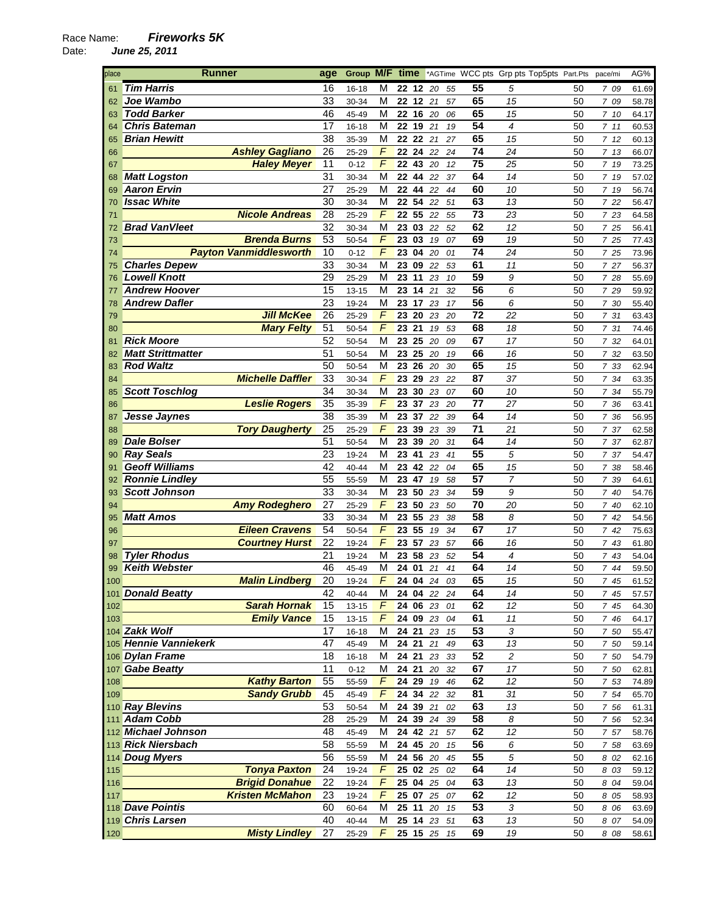| place      | <b>Runner</b>                          | age             | Group M/F         |            | time               |                      |             |          | *AGTime WCC pts Grp pts Top5pts Part.Pts |                |          | pace/mi      | AG%            |
|------------|----------------------------------------|-----------------|-------------------|------------|--------------------|----------------------|-------------|----------|------------------------------------------|----------------|----------|--------------|----------------|
| 61         | <b>Tim Harris</b>                      | 16              | 16-18             | М          |                    | 22 12                | 20          | 55       | 55                                       | 5              | 50       | 7 09         | 61.69          |
| 62         | Joe Wambo                              | 33              | 30-34             | м          |                    | 22 12                | 21          | 57       | 65                                       | 15             | 50       | 7 09         | 58.78          |
| 63         | <b>Todd Barker</b>                     | 46              | 45-49             | M          | 22 16              |                      | 20          | 06       | 65                                       | 15             | 50       | 710          | 64.17          |
| 64         | <b>Chris Bateman</b>                   | 17              | 16-18             | M          | 22 19              |                      | 21          | 19       | 54                                       | 4              | 50       | 7 11         | 60.53          |
| 65         | <b>Brian Hewitt</b>                    | 38              | 35-39             | М          | 22 22              |                      | 21          | 27       | 65                                       | 15             | 50       | 712          | 60.13          |
| 66         | <b>Ashley Gagliano</b>                 | 26              | 25-29             | F          | 22 24              |                      | 22          | 24       | 74                                       | 24             | 50       | 713          | 66.07          |
| 67         | <b>Haley Meyer</b>                     | 11              | $0 - 12$          | F          |                    | 22 43                | 20          | 12       | 75                                       | 25             | 50       | 7 19         | 73.25          |
| 68         | <b>Matt Logston</b>                    | 31              | 30-34             | M          |                    | 22 44                | 22          | 37       | 64                                       | 14             | 50       | 7 19         | 57.02          |
| 69         | <b>Aaron Ervin</b>                     | 27              | 25-29             | м          | 22 44              |                      | 22          | 44       | 60                                       | 10             | 50       | 7 19         | 56.74          |
| 70         | <b>Issac White</b>                     | 30              | 30-34             | M          | 22                 | 54                   | 22          | 51       | 63                                       | 13             | 50       | 7 22         | 56.47          |
| 71         | <b>Nicole Andreas</b>                  | 28              | 25-29             | F          |                    | $\overline{22}$ 55   | 22          | 55       | 73                                       | 23             | 50       | 7 23         | 64.58          |
| 72         | <b>Brad VanVleet</b>                   | 32              | 30-34             | M          |                    | 23 03                | 22          | 52       | 62                                       | 12             | 50       | 7 25         | 56.41          |
| 73         | <b>Brenda Burns</b>                    | 53              | 50-54             | F          |                    | 23 03                | 19          | 07       | 69                                       | 19             | 50       | 7 25         | 77.43          |
| 74         | <b>Payton Vanmiddlesworth</b>          | 10              | $0 - 12$          | F          |                    | 23 04                | 20          | 01       | 74                                       | 24             | 50       | 7 25         | 73.96          |
| 75         | <b>Charles Depew</b>                   | 33              | 30-34             | M          |                    | 23 09                | 22          | 53       | 61                                       | 11             | 50       | 7 27         | 56.37          |
| 76         | <b>Lowell Knott</b>                    | 29              | 25-29             | м          | 23 11              |                      | 23          | 10       | 59                                       | 9              | 50       | 7 28         | 55.69          |
| 77         | <b>Andrew Hoover</b>                   | 15              | 13-15             | M          | 23 14              |                      | 21          | 32       | 56                                       | 6              | 50       | 7 29         | 59.92          |
| 78         | <b>Andrew Dafler</b>                   | 23              | 19-24             | M          |                    | 23 17                | 23          | 17       | 56                                       | 6              | 50       | 7 30         | 55.40          |
| 79         | <b>Jill McKee</b>                      | 26              | 25-29             | F          |                    | 23 20                | 23          | 20       | 72                                       | 22             | 50       | 7 31         | 63.43          |
| 80         | <b>Mary Felty</b>                      | $\overline{51}$ | 50-54             | F          | $\overline{23}$ 21 |                      | 19          | 53       | 68                                       | 18             | 50       | 7 31         | 74.46          |
| 81         | <b>Rick Moore</b>                      | 52              | 50-54             | M          | 23                 | 25                   | 20          | 09       | 67                                       | 17             | 50       | 7 32         | 64.01          |
| 82         | <b>Matt Strittmatter</b>               | 51              | 50-54             | M          |                    | 23 25 20             |             | 19       | 66                                       | 16             | 50       | 7 32         | 63.50          |
| 83         | <b>Rod Waltz</b>                       | 50              | 50-54             | М          | 23 26              |                      | 20          | 30       | 65                                       | 15             | 50       | 7 33         | 62.94          |
| 84         | <b>Michelle Daffler</b>                | 33              | 30-34             | F          |                    | 23 29                | 23          | 22       | 87                                       | 37             | 50       | 7 34         | 63.35          |
| 85         | <b>Scott Toschlog</b>                  | 34              | 30-34             | M<br>F     |                    | 23 30                | 23          | 07       | 60<br>77                                 | 10             | 50       | 7 34         | 55.79          |
| 86         | <b>Leslie Rogers</b>                   | 35<br>38        | 35-39             | M          |                    | 23 37                | 23          | 20       | 64                                       | 27<br>14       | 50       | 7 36         | 63.41          |
| 87         | Jesse Jaynes<br><b>Tory Daugherty</b>  | 25              | 35-39             | F          | 23 37<br>23        | 39                   | 22          | 39       | 71                                       | 21             | 50<br>50 | 7 36         | 56.95          |
| 88<br>89   | <b>Dale Bolser</b>                     | 51              | 25-29<br>50-54    | М          | 23                 | 39                   | 23<br>20    | 39<br>31 | 64                                       | 14             | 50       | 7 37<br>7 37 | 62.58          |
| 90         | <b>Ray Seals</b>                       | 23              | 19-24             | м          | 23                 | 41                   | 23          | 41       | 55                                       | 5              | 50       | 7 37         | 62.87<br>54.47 |
| 91         | <b>Geoff Williams</b>                  | 42              | 40-44             | M          | 23                 | 42                   | 22          | 04       | 65                                       | 15             | 50       | 7 38         | 58.46          |
| 92         | <b>Ronnie Lindley</b>                  | 55              | 55-59             | M          | 23                 | 47                   | 19          | 58       | 57                                       | $\overline{7}$ | 50       | 7 39         | 64.61          |
| 93         | <b>Scott Johnson</b>                   | 33              | 30-34             | М          | 23 50              |                      | 23          | 34       | 59                                       | 9              | 50       | 7 40         | 54.76          |
| 94         | <b>Amy Rodeghero</b>                   | 27              | 25-29             | $\sqrt{2}$ |                    | 23 50                | 23          | 50       | 70                                       | 20             | 50       | 7 40         | 62.10          |
| 95         | <b>Matt Amos</b>                       | 33              | 30-34             | M          |                    | 23 55                | 23          | 38       | 58                                       | 8              | 50       | 742          | 54.56          |
| 96         | <b>Eileen Cravens</b>                  | 54              | 50-54             | F          |                    | 23 55                | 19          | 34       | 67                                       | 17             | 50       | 7 42         | 75.63          |
| 97         | <b>Courtney Hurst</b>                  | 22              | 19-24             | $\sqrt{ }$ | 23 57              |                      | 23          | 57       | 66                                       | 16             | 50       | 7 43         | 61.80          |
| 98         | <b>Tyler Rhodus</b>                    | 21              | 19-24             | M          | 23 58              |                      | 23          | 52       | 54                                       | 4              | 50       | 7 43         | 54.04          |
| 99         | <b>Keith Webster</b>                   | 46              | 45-49             | M          | 24 01              |                      | 21          | 41       | 64                                       | 14             | 50       | 7 44         | 59.50          |
| 100        | <b>Malin Lindberg</b>                  | 20              | 19-24             | F          |                    | 24 04                | 24          | 03       | 65                                       | 15             | 50       | 7 45         | 61.52          |
|            | 101 Donald Beatty                      | 42              | 40-44             | м          |                    |                      | 24 04 22 24 |          | 64                                       | 14             | 50       | 7 45         | 57.57          |
| 102        | <b>Sarah Hornak</b>                    | 15              | 13-15             | F          |                    |                      | 24 06 23 01 |          | 62                                       | 12             | 50       | 7 45         | 64.30          |
| 103        | <b>Emily Vance</b>                     | 15              | $13 - 15$         | $\sqrt{2}$ |                    | 24 09 23             |             | 04       | 61                                       | $11$           | 50       | 7 46         | 64.17          |
|            | 104 Zakk Wolf                          | 17              | $16 - 18$         | M          |                    | 24 21 23             |             | 15       | 53                                       | 3              | 50       | 7 50         | 55.47          |
|            | 105 Hennie Vanniekerk                  | 47              | 45-49             | M          | 24 21              |                      | 21          | 49       | 63                                       | 13             | 50       | 7 50         | 59.14          |
|            | 106 Dylan Frame                        | 18              | $16 - 18$         | M          |                    | 24 21                | 23          | 33       | 52                                       | 2              | 50       | 7 50         | 54.79          |
|            | 107 Gabe Beatty<br><b>Kathy Barton</b> | 11<br>55        | $0 - 12$<br>55-59 | M<br>F     |                    | 24 21 20<br>24 29 19 |             | 32       | 67<br>62                                 | 17<br>12       | 50<br>50 | 7 50<br>7 53 | 62.81          |
| 108<br>109 | <b>Sandy Grubb</b>                     | 45              | 45-49             | $\sqrt{2}$ |                    | 24 34 22             |             | 46<br>32 | 81                                       | 31             | 50       | 7 54         | 74.89<br>65.70 |
|            | 110 Ray Blevins                        | 53              | 50-54             | M          |                    | 24 39 21             |             | 02       | 63                                       | 13             | 50       | 7 56         | 61.31          |
|            | 111 Adam Cobb                          | 28              | 25-29             | M          |                    | 24 39 24             |             | 39       | 58                                       | 8              | 50       | 7 56         | 52.34          |
|            | 112 Michael Johnson                    | 48              | 45-49             | M          |                    | 24 42 21             |             | 57       | 62                                       | 12             | 50       | 7 57         | 58.76          |
|            | 113 Rick Niersbach                     | 58              | 55-59             | M          |                    | 24 45 20             |             | 15       | $\overline{56}$                          | 6              | 50       | 7 58         | 63.69          |
|            | 114 Doug Myers                         | 56              | 55-59             | M          |                    | 24 56 20             |             | 45       | 55                                       | 5              | 50       | 8 02         | 62.16          |
| 115        | <b>Tonya Paxton</b>                    | 24              | 19-24             | F          | 25 02 25           |                      |             | 02       | 64                                       | 14             | 50       | 8 03         | 59.12          |
| 116        | <b>Brigid Donahue</b>                  | 22              | 19-24             | F          |                    | 25 04 25             |             | 04       | 63                                       | 13             | 50       | 8 04         | 59.04          |
| 117        | <b>Kristen McMahon</b>                 | 23              | 19-24             | F          |                    | 25 07 25             |             | 07       | 62                                       | 12             | 50       | 8 05         | 58.93          |
|            | 118 Dave Pointis                       | 60              | 60-64             | М          |                    |                      | 25 11 20    | 15       | 53                                       | 3              | 50       | 8 06         | 63.69          |
|            | 119 Chris Larsen                       | 40              | 40-44             | M          | 25 14 23           |                      |             | 51       | 63                                       | 13             | 50       | 8 07         | 54.09          |
| 120        | <b>Misty Lindley</b>                   | 27              | 25-29             | F          | 25 15 25           |                      |             | 15       | 69                                       | 19             | 50       | 8 08         | 58.61          |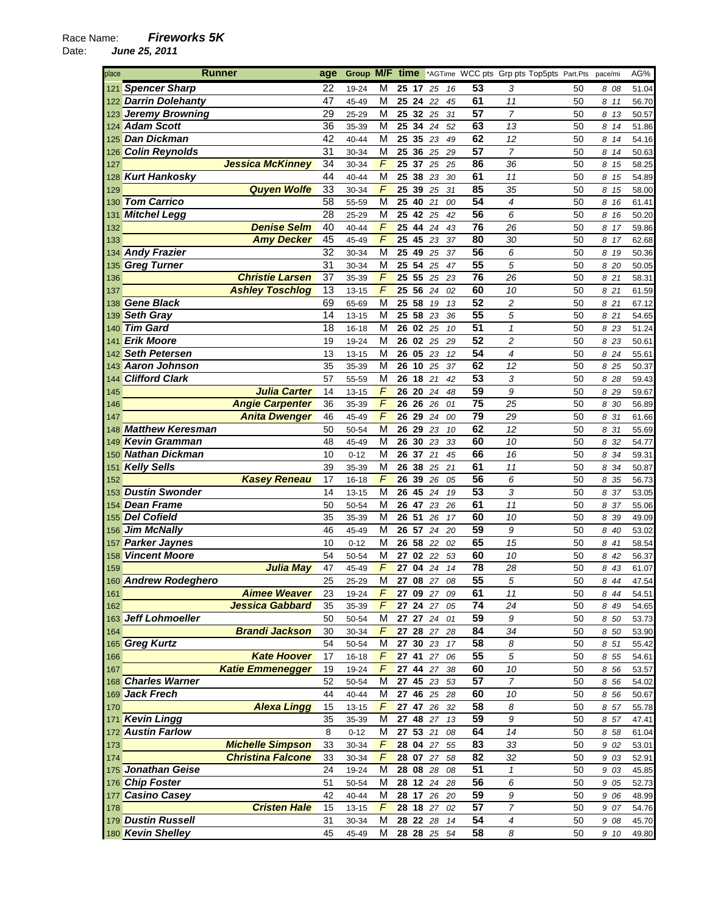| place      | <b>Runner</b>                                 | age      | Group M/F          |                     | time  |          |                      |          | *AGTime WCC pts Grp pts Top5pts Part.Pts |                          |          | pace/mi       | AG%            |
|------------|-----------------------------------------------|----------|--------------------|---------------------|-------|----------|----------------------|----------|------------------------------------------|--------------------------|----------|---------------|----------------|
| 121        | <b>Spencer Sharp</b>                          | 22       | 19-24              | М                   |       | 25 17    | 25                   | 16       | 53                                       | 3                        | 50       | 8 08          | 51.04          |
|            | 122 Darrin Dolehanty                          | 47       | 45-49              | М                   |       | 25 24    | 22                   | 45       | 61                                       | 11                       | 50       | 8 11          | 56.70          |
|            | 123 Jeremy Browning                           | 29       | 25-29              | M                   |       | 25 32 25 |                      | 31       | $\overline{57}$                          | 7                        | 50       | 8 13          | 50.57          |
|            | 124 Adam Scott                                | 36       | 35-39              | M                   | 25    | 34       | 24                   | 52       | 63                                       | 13                       | 50       | 8 14          | 51.86          |
|            | 125 Dan Dickman                               | 42       | 40-44              | M                   |       | 25 35    | 23                   | 49       | 62                                       | 12                       | 50       | 8 14          | 54.16          |
|            | 126 Colin Reynolds                            | 31       | 30-34              | M                   |       | 25 36    | 25                   | 29       | 57                                       | $\overline{7}$           | 50       | 8 14          | 50.63          |
| 127        | <b>Jessica McKinney</b>                       | 34       | 30-34              | F                   |       | 25 37    | 25                   | 25       | 86                                       | 36                       | 50       | 8 15          | 58.25          |
| 128        | <b>Kurt Hankosky</b>                          | 44       | 40-44              | M                   |       | 25 38    | 23                   | 30       | 61                                       | 11                       | 50       | 8 15          | 54.89          |
| 129        | <b>Quyen Wolfe</b>                            | 33       | 30-34              | $\sqrt{ }$          | 25    | 39       | 25                   | 31       | 85                                       | 35                       | 50       | 8 15          | 58.00          |
| 130        | <b>Tom Carrico</b>                            | 58       | 55-59              | M                   |       | 25 40    | 21                   | 00       | 54                                       | 4                        | 50       | 8 16          | 61.41          |
| 131        | <b>Mitchel Legg</b>                           | 28       | 25-29              | M                   |       | 25 42 25 |                      | 42       | 56                                       | 6                        | 50       | 8 16          | 50.20          |
| 132        | <b>Denise Selm</b>                            | 40       | 40-44              | $\sqrt{2}$          |       | 25 44    | 24                   | 43       | 76                                       | 26                       | 50       | 8 17          | 59.86          |
| 133        | <b>Amy Decker</b>                             | 45       | 45-49              | F                   |       | 25 45    | 23                   | 37       | 80                                       | 30                       | 50       | 8 17          | 62.68          |
| 134        | <b>Andy Frazier</b>                           | 32       | 30-34              | M                   |       | 25 49    | 25                   | 37       | 56                                       | 6                        | 50       | 8 19          | 50.36          |
| 135        | <b>Greg Turner</b>                            | 31       | 30-34              | M                   | 25    | 54       | 25                   | 47       | $\overline{55}$                          | 5                        | 50       | 8 20          | 50.05          |
| 136        | <b>Christie Larsen</b>                        | 37       | 35-39              | $\sqrt{ }$          |       | 25 55    | 25                   | 23       | 76                                       | 26                       | 50       | 8 21          | 58.31          |
| 137        | <b>Ashley Toschlog</b>                        | 13       | $13 - 15$          | F                   | 25 56 |          | 24                   | 02       | 60                                       | 10                       | 50       | 8 21          | 61.59          |
| 138        | <b>Gene Black</b>                             | 69       | 65-69              | M                   | 25    | 58       | 19                   | 13       | 52                                       | $\overline{c}$           | 50       | 8 21          | 67.12          |
| 139        | <b>Seth Gray</b>                              | 14       | 13-15              | M                   | 25    | 58       | 23                   | 36       | $\overline{55}$                          | 5                        | 50       | 8 21          | 54.65          |
| 140        | <b>Tim Gard</b>                               | 18       | 16-18              | M                   |       | 26 02    | 25                   | 10       | $\overline{51}$                          | $\mathbf{1}$             | 50       | 8 23          | 51.24          |
| 141        | <b>Erik Moore</b>                             | 19       | 19-24              | M                   |       | 26 02    | 25                   | 29       | 52                                       | $\overline{c}$           | 50       | 8 23          | 50.61          |
| 142        | <b>Seth Petersen</b>                          | 13       | 13-15              | M                   | 26    | 05       | 23                   | 12       | 54                                       | $\overline{\mathcal{A}}$ | 50       | 8 24          | 55.61          |
| 143        | <b>Aaron Johnson</b>                          | 35       | 35-39              | M                   |       | 26 10    | 25                   | 37       | 62                                       | 12                       | 50       | 8 25          | 50.37          |
| 144        | <b>Clifford Clark</b>                         | 57       | 55-59              | М                   |       | 26 18    | 21                   | 42       | 53                                       | 3                        | 50       | 8 28          | 59.43          |
| 145        | <b>Julia Carter</b>                           | 14       | 13-15              | F                   |       | 26 20    | 24                   | 48       | 59                                       | 9                        | 50       | 8 2 9         | 59.67          |
| 146        | <b>Angie Carpenter</b>                        | 36       | 35-39              | F                   |       | 26 26    | 26                   | 01       | 75                                       | 25                       | 50       | 8 30          | 56.89          |
| 147        | <b>Anita Dwenger</b>                          | 46       | 45-49              | $\sqrt{ }$          | 26    | 29       | 24                   | 00       | 79                                       | 29                       | 50       | 8 31          | 61.66          |
| 148        | <b>Matthew Keresman</b>                       | 50       | 50-54              | M                   | 26    | 29       | 23                   | 10       | 62                                       | 12                       | 50       | 8 31          | 55.69          |
| 149        | <b>Kevin Gramman</b>                          | 48       | 45-49              | M                   | 26    | 30       | 23                   | 33       | 60                                       | 10                       | 50       | 8 32          | 54.77          |
| 150        | Nathan Dickman                                | 10       | $0 - 12$           | М                   |       | 26 37 21 |                      | 45       | 66                                       | 16                       | 50       | 8 34          | 59.31          |
| 151        | <b>Kelly Sells</b>                            | 39       | 35-39              | M                   | 26    | 38       | 25                   | 21       | 61                                       | 11                       | 50       | 8 34          | 50.87          |
| 152        | <b>Kasey Reneau</b>                           | 17       | 16-18              | $\sqrt{2}$          | 26    | 39       | 26                   | 05       | 56                                       | 6                        | 50       | 8 35          | 56.73          |
| 153        | <b>Dustin Swonder</b>                         | 14       | 13-15              | M                   |       | 26 45    | 24                   | 19       | 53                                       | 3                        | 50       | 8 37          | 53.05          |
| 154        | <b>Dean Frame</b>                             | 50       | 50-54              | М                   |       | 26 47    | 23                   | 26       | 61                                       | 11                       | 50       | 8 37          | 55.06          |
| 155        | <b>Del Cofield</b>                            | 35       | 35-39              | М                   |       | 26 51    | 26                   | 17       | 60                                       | 10                       | 50       | 8 39          | 49.09          |
| 156        | <b>Jim McNally</b>                            | 46       | 45-49              | М                   |       | 26 57    | 24                   | 20       | 59                                       | 9                        | 50       | 8 40          | 53.02          |
| 157        | <b>Parker Jaynes</b>                          | 10       | $0 - 12$           | M                   |       | 26 58    | 22                   | 02       | 65                                       | 15                       | 50       | 8 41          | 58.54          |
| 158        | <b>Vincent Moore</b>                          | 54       | 50-54              | м                   |       | 27 02    | 22                   | 53       | 60                                       | 10                       | 50       | 8 42          | 56.37          |
| 159        | <b>Julia May</b>                              | 47       | 45-49              | F                   | 27    | 04 24    |                      | 14       | 78<br>$\overline{55}$                    | 28                       | 50       | 8 43          | 61.07          |
|            | 160 Andrew Rodeghero                          | 25       | 25-29              | М                   |       |          | 27 08 27             | 08       |                                          | 5                        | 50       | 8 44          | 47.54          |
| 161        | <b>Aimee Weaver</b><br><b>Jessica Gabbard</b> | 23       | 19-24              | F<br>$\overline{F}$ |       |          | 27 09 27 09          |          | 61<br>74                                 | 11                       | 50       | 8 4 4         | 54.51          |
| 162        | 163 Jeff Lohmoeller                           | 35       | 35-39              |                     |       |          | 27 24 27<br>27 27 24 | 05       | 59                                       | 24                       | 50       | 8 49          | 54.65          |
|            | <b>Brandi Jackson</b>                         | 50<br>30 | 50-54<br>30-34     | M<br>$\overline{F}$ |       |          | 27 28 27             | 01<br>28 | 84                                       | $\boldsymbol{9}$<br>34   | 50<br>50 | 8 50          | 53.73          |
| 164        |                                               | 54       |                    |                     |       | 27 30 23 |                      |          | 58                                       |                          |          | 8 50          | 53.90          |
|            | 165 Greg Kurtz<br><b>Kate Hoover</b>          | 17       | 50-54<br>$16 - 18$ | М<br>F              |       |          | 27 41 27             | 17<br>06 | 55                                       | 8<br>5                   | 50<br>50 | 8 51<br>8 5 5 | 55.42          |
| 166<br>167 | <b>Katie Emmenegger</b>                       | 19       | 19-24              | $\overline{F}$      |       |          | 27 44 27             | 38       | 60                                       | 10                       | 50       | 8 56          | 54.61<br>53.57 |
|            | 168 Charles Warner                            | 52       | 50-54              | М                   |       |          | 27 45 23             | 53       | $\overline{57}$                          | $\overline{7}$           | 50       | 8 56          | 54.02          |
|            | 169 Jack Frech                                | 44       | 40-44              | M                   |       | 27 46 25 |                      | 28       | 60                                       | 10                       | 50       | 8 56          | 50.67          |
| 170        | <b>Alexa Lingg</b>                            | 15       | 13-15              | F                   |       | 27 47 26 |                      | 32       | 58                                       | 8                        | 50       | 8 57          | 55.78          |
|            | 171 Kevin Lingg                               | 35       | 35-39              | М                   |       | 27 48 27 |                      | 13       | 59                                       | 9                        | 50       | 8 57          | 47.41          |
|            | 172 Austin Farlow                             | 8        | $0 - 12$           | М                   |       |          | 27 53 21             | 08       | 64                                       | 14                       | 50       | 8 58          | 61.04          |
| 173        | <b>Michelle Simpson</b>                       | 33       | 30-34              | $\overline{F}$      |       |          | 28 04 27             | 55       | 83                                       | 33                       | 50       | 9 02          | 53.01          |
| 174        | <b>Christina Falcone</b>                      | 33       | 30-34              | $\sqrt{2}$          |       | 28 07    | 27                   | 58       | 82                                       | 32                       | 50       | 9 03          | 52.91          |
|            | 175 Jonathan Geise                            | 24       | 19-24              | M                   |       | 28 08 28 |                      | 08       | 51                                       | $\mathbf{1}$             | 50       | 9 03          | 45.85          |
|            | 176 Chip Foster                               | 51       | 50-54              | М                   |       |          | 28 12 24             | 28       | 56                                       | 6                        | 50       | 9 05          | 52.73          |
|            | 177 Casino Casey                              | 42       | 40-44              | М                   |       |          | 28 17 26             | 20       | 59                                       | 9                        | 50       | 9 06          | 48.99          |
| 178        | <b>Cristen Hale</b>                           | 15       | 13-15              | F                   |       |          | 28 18 27             | 02       | 57                                       | $\overline{7}$           | 50       | 9 07          | 54.76          |
|            | 179 Dustin Russell                            | 31       | 30-34              | M                   |       | 28 22 28 |                      | 14       | 54                                       | 4                        | 50       | 9 08          | 45.70          |
|            | 180 Kevin Shelley                             | 45       | 45-49              | М                   |       |          | 28 28 25             | 54       | 58                                       | 8                        | 50       | 9 10          | 49.80          |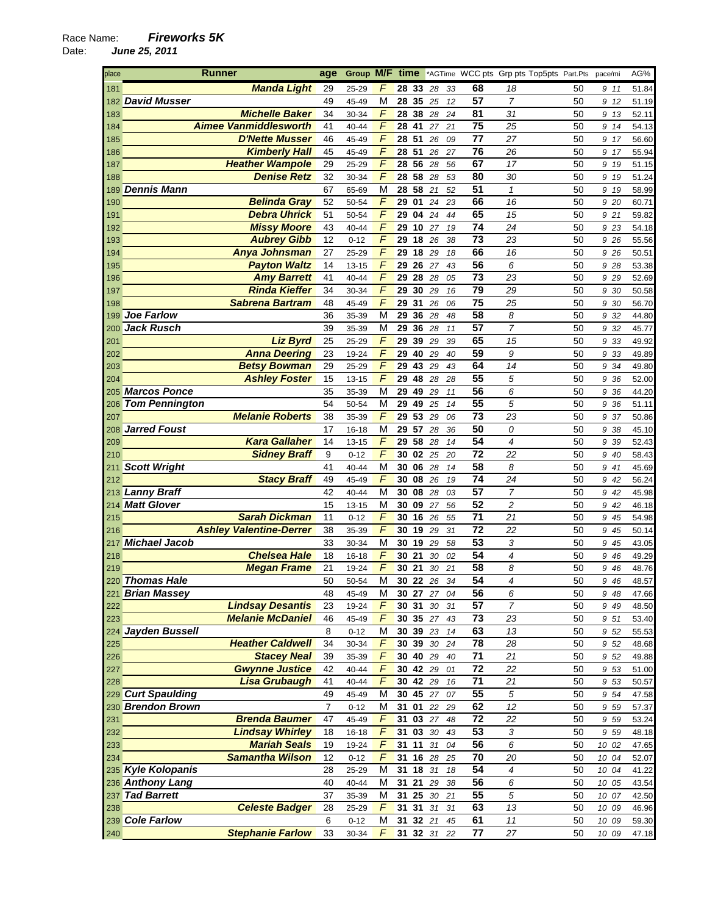| place      | Runner                         | age            | Group M/F time             |            |          |        |    | *AGTime WCC pts Grp pts Top5pts Part.Pts |                |          | pace/mi        | AG%   |
|------------|--------------------------------|----------------|----------------------------|------------|----------|--------|----|------------------------------------------|----------------|----------|----------------|-------|
| 181        | <b>Manda Light</b>             | 29             | F<br>25-29                 | 28 33      |          | 28     | 33 | 68                                       | 18             | 50       | 9 11           | 51.84 |
| 182        | <b>David Musser</b>            | 49             | M<br>45-49                 | 28         | 35       | 25     | 12 | $\overline{57}$                          | $\overline{7}$ | 50       | 9 12           | 51.19 |
| 183        | <b>Michelle Baker</b>          | 34             | $\overline{F}$<br>30-34    | 28 38      |          | 28     | 24 | 81                                       | 31             | 50       | 9 13           | 52.11 |
| 184        | <b>Aimee Vanmiddlesworth</b>   | 41             | F<br>40-44                 | 28 41      |          | 27     | 21 | 75                                       | 25             | 50       | 9 14           | 54.13 |
| 185        | <b>D'Nette Musser</b>          | 46             | F<br>45-49                 | 28 51      |          | 26     | 09 | 77                                       | 27             | 50       | 9 17           | 56.60 |
| 186        | <b>Kimberly Hall</b>           | 45             | F<br>45-49                 | 28 51      |          | 26     | 27 | $\overline{76}$                          | 26             | 50       | 9 17           | 55.94 |
|            | <b>Heather Wampole</b>         | 29             | F                          | 28         | 56       | 28     | 56 | 67                                       | 17             | 50       | 9 19           | 51.15 |
| 187        | <b>Denise Retz</b>             | 32             | 25-29<br>$\overline{F}$    | 28 58 28   |          |        |    | 80                                       | 30             | 50       |                |       |
| 188        | <b>Dennis Mann</b>             | 67             | 30-34<br>M                 | 28 58      |          |        | 53 | 51                                       | $\mathbf{1}$   |          | 9 19           | 51.24 |
| 189        |                                |                | 65-69<br>F                 |            |          | 21     | 52 | 66                                       |                | 50       | 9 19           | 58.99 |
| 190        | <b>Belinda Gray</b>            | 52             | 50-54                      | 29         | 01       | 24     | 23 |                                          | 16             | 50       | 9 20           | 60.71 |
| 191        | <b>Debra Uhrick</b>            | 51             | F<br>50-54                 | 29         | 04       | 24     | 44 | 65                                       | 15             | 50       | 9 21           | 59.82 |
| 192        | <b>Missy Moore</b>             | 43             | F<br>40-44                 | 29         | 10       | 27     | 19 | 74                                       | 24             | 50       | 9 23           | 54.18 |
| 193        | <b>Aubrey Gibb</b>             | 12             | $\overline{F}$<br>$0 - 12$ | 29 18      |          | 26     | 38 | 73                                       | 23             | 50       | 9 26           | 55.56 |
| 194        | Anya Johnsman                  | 27             | $\overline{F}$<br>25-29    | 29         | 18       | 29     | 18 | 66                                       | 16             | 50       | 9 26           | 50.51 |
| 195        | <b>Payton Waltz</b>            | 14             | F<br>13-15                 | 29         | 26       | 27     | 43 | 56                                       | 6              | 50       | 9 28           | 53.38 |
| 196        | <b>Amy Barrett</b>             | 41             | F<br>40-44                 | 29         | 28       | 28     | 05 | 73                                       | 23             | 50       | 9 29           | 52.69 |
| 197        | <b>Rinda Kieffer</b>           | 34             | $\overline{F}$<br>30-34    | 29 30      |          | 29     | 16 | $\overline{79}$                          | 29             | 50       | 9 30           | 50.58 |
| 198        | <b>Sabrena Bartram</b>         | 48             | F<br>45-49                 | 29         | 31       | 26     | 06 | $\overline{75}$                          | 25             | 50       | 9 30           | 56.70 |
| 199        | <b>Joe Farlow</b>              | 36             | M<br>35-39                 | 29 36      |          | 28     | 48 | 58                                       | 8              | 50       | 9 32           | 44.80 |
| 200        | <b>Jack Rusch</b>              | 39             | M<br>35-39                 | 29 36      |          | 28     | 11 | 57                                       | $\overline{7}$ | 50       | 9 32           | 45.77 |
| 201        | <b>Liz Byrd</b>                | 25             | F<br>25-29                 | 29         | 39       | 29     | 39 | 65                                       | 15             | 50       | 9 33           | 49.92 |
| 202        | <b>Anna Deering</b>            | 23             | F<br>19-24                 |            | 29 40 29 |        | 40 | 59                                       | 9              | 50       | 9 33           | 49.89 |
| 203        | <b>Betsy Bowman</b>            | 29             | F<br>25-29                 | 29 43      |          | 29     | 43 | 64                                       | 14             | 50       | 9 34           | 49.80 |
| 204        | <b>Ashley Foster</b>           | 15             | $\sqrt{2}$<br>13-15        | 29         | 48       | 28     | 28 | $\overline{55}$                          | 5              | 50       | 9 36           | 52.00 |
|            | 205 Marcos Ponce               | 35             | M<br>35-39                 | 29 49      |          | 29     | 11 | 56                                       | 6              | 50       | 9 36           | 44.20 |
| 206        | <b>Tom Pennington</b>          | 54             | M<br>50-54                 | 29 49      |          | 25     | 14 | 55                                       | 5              | 50       | 9 36           | 51.11 |
| 207        | <b>Melanie Roberts</b>         | 38             | F<br>35-39                 | 29 53      |          | 29     | 06 | 73                                       | 23             | 50       | 9 37           | 50.86 |
| 208        | <b>Jarred Foust</b>            | 17             | M<br>16-18                 | 29 57      |          | 28     | 36 | $\overline{50}$                          | 0              | 50       | 9 38           | 45.10 |
| 209        | <b>Kara Gallaher</b>           | 14             | $\sqrt{ }$<br>13-15        | 29 58      |          | 28     | 14 | 54                                       | $\overline{4}$ | 50       | 9 39           | 52.43 |
| 210        | <b>Sidney Braff</b>            | 9              | $\sqrt{2}$<br>$0 - 12$     | 30 02      |          | 25     | 20 | 72                                       | 22             | 50       | 9 40           | 58.43 |
| 211        | <b>Scott Wright</b>            | 41             | M<br>40-44                 | 30 06      |          | 28     | 14 | 58                                       | 8              | 50       | 9 41           | 45.69 |
| 212        | <b>Stacy Braff</b>             | 49             | F<br>45-49                 | 30 08      |          | 26     | 19 | 74                                       | 24             | 50       | 9 42           | 56.24 |
|            | 213 Lanny Braff                | 42             | M<br>40-44                 | 30 08      |          | 28     | 03 | 57                                       | $\overline{7}$ | 50       | 9 42           | 45.98 |
| 214        | <b>Matt Glover</b>             | 15             | M<br>13-15                 | 30 09      |          | 27     | 56 | 52                                       | $\overline{c}$ | 50       | 9 42           | 46.18 |
| 215        | <b>Sarah Dickman</b>           | 11             | $\overline{F}$<br>$0 - 12$ | 30         | 16       | 26     | 55 | $\overline{71}$                          | 21             | 50       | 9 45           | 54.98 |
| 216        | <b>Ashley Valentine-Derrer</b> | 38             | $\overline{F}$<br>35-39    | 30 19      |          | 29     | 31 | $\overline{72}$                          | 22             | 50       | 9 45           | 50.14 |
| 217        | <b>Michael Jacob</b>           | 33             | M<br>30-34                 | 30         | 19       | 29     | 58 | $\overline{53}$                          | 3              | 50       | 9 45           | 43.05 |
| 218        | <b>Chelsea Hale</b>            | 18             | F<br>$16 - 18$             | 30 21      |          | 30     | 02 | 54                                       | 4              | 50       | 9 46           | 49.29 |
| 219        | <b>Megan Frame</b>             | 21             | $\overline{F}$<br>19-24    | 30         | 21       | 30     | 21 | 58                                       | 8              | 50       | 9 4 6          | 48.76 |
|            | 220 Thomas Hale                | 50             | M<br>50-54                 | 30 22      |          | 26     | 34 | 54                                       | 4              | 50       | 9 46           | 48.57 |
|            | 221 Brian Massey               | 48             | 45-49<br>М                 |            | 30 27 27 |        | 04 | 56                                       | 6              | 50       | 9 48           | 47.66 |
| 222        | <b>Lindsay Desantis</b>        | 23             | F<br>19-24                 | 30 31      |          | $30\,$ | 31 | 57                                       | 7              | 50       | 9 4 9          | 48.50 |
| 223        | <b>Melanie McDaniel</b>        | 46             | $\overline{F}$<br>45-49    | 30 35 27   |          |        | 43 | 73                                       | 23             | 50       | 9 51           | 53.40 |
| 224        | <b>Jayden Bussell</b>          | 8              | М<br>$0 - 12$              | 30 39 23   |          |        | 14 | 63                                       | 13             | 50       | 9 52           | 55.53 |
| 225        | <b>Heather Caldwell</b>        | 34             | F<br>30-34                 | 30 39 30   |          |        | 24 | 78                                       | 28             | 50       | 9 52           | 48.68 |
| 226        | <b>Stacey Neal</b>             | 39             | $\sqrt{2}$<br>35-39        | 30 40      |          | 29     | 40 | $\overline{71}$                          | 21             | 50       | 9 52           | 49.88 |
| 227        | <b>Gwynne Justice</b>          | 42             | F<br>40-44                 | 30 42 29   |          |        | 01 | 72                                       | 22             | 50       | 9 53           | 51.00 |
| 228        | <b>Lisa Grubaugh</b>           | 41             | F<br>40-44                 | 30 42 29   |          |        | 16 | 71                                       | 21             | 50       | 9 53           | 50.57 |
|            | 229 Curt Spaulding             | 49             | 45-49<br>M                 | 30 45 27   |          |        | 07 | 55                                       | 5              | 50       | 9 54           | 47.58 |
|            | 230 Brendon Brown              | $\overline{7}$ | M<br>$0 - 12$              | 31 01 22   |          |        | 29 | 62                                       | 12             | 50       | 9 5 9          | 57.37 |
| 231        | <b>Brenda Baumer</b>           | 47             | $\sqrt{2}$<br>45-49        | 31 03 27   |          |        | 48 | $\overline{72}$                          | 22             | 50       | 9 5 9          | 53.24 |
| 232        | <b>Lindsay Whirley</b>         | 18             | F<br>$16 - 18$             | 31         | 03 30    |        | 43 | 53                                       | 3              | 50       | 9 59           | 48.18 |
| 233        | <b>Mariah Seals</b>            | 19             | $\overline{F}$<br>19-24    | 31 11      |          | 31     | 04 | 56                                       | 6              | 50       | 10 02          | 47.65 |
| 234        | <b>Samantha Wilson</b>         | 12             | F<br>$0 - 12$              | 31 16 28   |          |        | 25 | 70                                       | 20             | 50       | 10 04          | 52.07 |
|            | 235 Kyle Kolopanis             | 28             | 25-29<br>М                 | 31 18 31   |          |        | 18 | 54                                       | 4              | 50       | 10 04          | 41.22 |
|            | 236 Anthony Lang               | 40             | М<br>40-44                 | 31 21      |          | 29     | 38 | $\overline{56}$                          | 6              | 50       | 10 05          |       |
|            | <b>Tad Barrett</b>             | 37             | M<br>35-39                 | 31         | 25       | 30     | 21 | $\overline{55}$                          | 5              | 50       | 10 07          | 43.54 |
| 237<br>238 | <b>Celeste Badger</b>          | 28             | F                          | $31$ 31 31 |          |        | 31 | 63                                       | 13             | 50       |                | 42.50 |
|            | 239 Cole Farlow                | 6              | 25-29<br>М                 | 31 32 21   |          |        | 45 | 61                                       | 11             |          | 10 09<br>10 09 | 46.96 |
| 240        | <b>Stephanie Farlow</b>        | 33             | $0 - 12$<br>F<br>30-34     | 31 32 31   |          |        |    | 77                                       | 27             | 50<br>50 | 10 09          | 59.30 |
|            |                                |                |                            |            |          |        | 22 |                                          |                |          |                | 47.18 |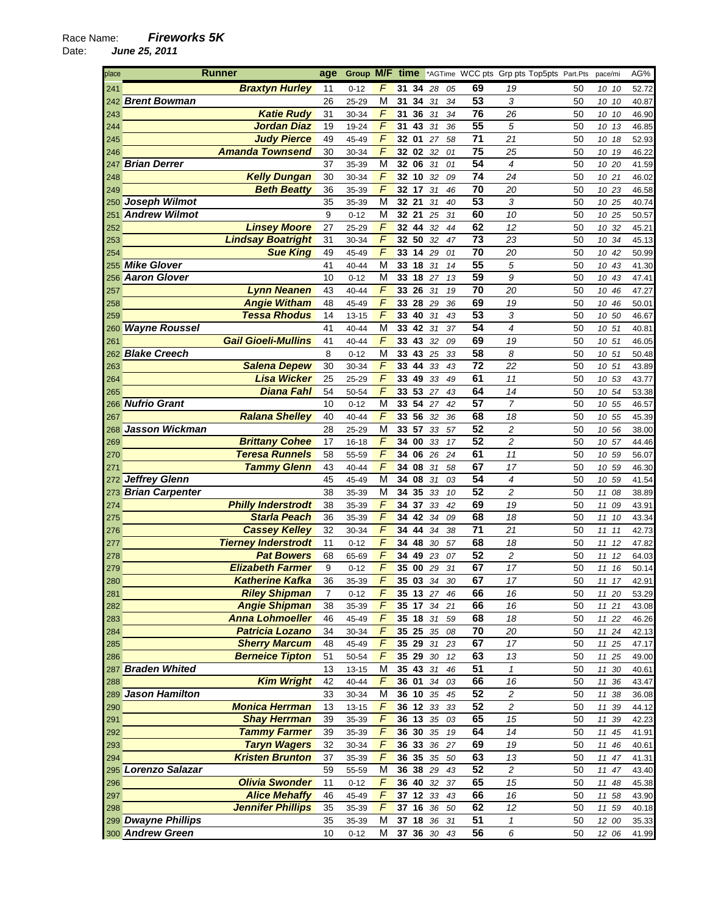| place | <b>Runner</b>                                    | age      | Group M/F time |                         |                  |    |        |    | *AGTime WCC pts Grp pts Top5pts Part.Pts |                          |    | pace/mi      | AG%   |
|-------|--------------------------------------------------|----------|----------------|-------------------------|------------------|----|--------|----|------------------------------------------|--------------------------|----|--------------|-------|
| 241   | <b>Braxtyn Hurley</b>                            | 11       | $0 - 12$       | F                       | 31               | 34 | 28     | 05 | 69                                       | 19                       | 50 | 10 10        | 52.72 |
|       | 242 Brent Bowman                                 | 26       | 25-29          | M                       | 31               | 34 | 31     | 34 | 53                                       | 3                        | 50 | 10 10        | 40.87 |
| 243   | <b>Katie Rudy</b>                                | 31       | 30-34          | $\sqrt{2}$              | 31 36            |    | 31     | 34 | 76                                       | 26                       | 50 | 10 10        | 46.90 |
| 244   | <b>Jordan Diaz</b>                               | 19       | 19-24          | F                       | 31               | 43 | 31     | 36 | 55                                       | 5                        | 50 | 10 13        | 46.85 |
| 245   | <b>Judy Pierce</b>                               | 49       | 45-49          | F                       | 32 01            |    | 27     | 58 | 71                                       | 21                       | 50 | 10 18        | 52.93 |
|       | <b>Amanda Townsend</b>                           | 30       |                | F                       | 32 02            |    | 32     |    | 75                                       | 25                       | 50 |              |       |
| 246   |                                                  |          | 30-34          |                         |                  |    |        | 01 | 54                                       |                          |    | 10 19        | 46.22 |
| 247   | <b>Brian Derrer</b>                              | 37       | 35-39          | M                       | 32 06            |    | 31     | 01 |                                          | $\overline{\mathcal{A}}$ | 50 | 10 20        | 41.59 |
| 248   | <b>Kelly Dungan</b>                              | 30       | 30-34          | $\sqrt{2}$              | 32 10            |    | 32     | 09 | 74                                       | 24                       | 50 | 10 21        | 46.02 |
| 249   | <b>Beth Beatty</b>                               | 36       | 35-39          | $\sqrt{2}$              | 32 17            |    | 31     | 46 | 70                                       | 20                       | 50 | 10 23        | 46.58 |
|       | 250 Joseph Wilmot                                | 35       | 35-39          | M                       | 32 21            |    | 31     | 40 | 53                                       | 3                        | 50 | 10 25        | 40.74 |
| 251   | <b>Andrew Wilmot</b>                             | 9        | $0 - 12$       | М                       | 32 21            |    | 25     | 31 | 60                                       | 10                       | 50 | 10 25        | 50.57 |
| 252   | <b>Linsey Moore</b>                              | 27       | 25-29          | F                       | 32 44            |    | 32     | 44 | 62                                       | 12                       | 50 | 10 32        | 45.21 |
| 253   | <b>Lindsay Boatright</b>                         | 31       | 30-34          | $\overline{F}$          | 32               | 50 | 32     | 47 | 73                                       | 23                       | 50 | 10 34        | 45.13 |
| 254   | <b>Sue King</b>                                  | 49       | 45-49          | $\overline{F}$          | 33 14 29         |    |        | 01 | 70                                       | 20                       | 50 | 10 42        | 50.99 |
| 255   | <b>Mike Glover</b>                               | 41       | 40-44          | M                       | 33               | 18 | 31     | 14 | 55                                       | 5                        | 50 | 10 43        | 41.30 |
| 256   | <b>Aaron Glover</b>                              | 10       | $0 - 12$       | М                       | 33 18 27         |    |        | 13 | 59                                       | 9                        | 50 | 10 43        | 47.41 |
| 257   | <b>Lynn Neanen</b>                               | 43       | 40-44          | F                       | 33 26            |    | 31     | 19 | 70                                       | 20                       | 50 | 10 46        | 47.27 |
| 258   | <b>Angie Witham</b>                              | 48       | 45-49          | F                       | 33               | 28 | 29     | 36 | 69                                       | 19                       | 50 | 10 46        | 50.01 |
| 259   | <b>Tessa Rhodus</b>                              | 14       | 13-15          | $\sqrt{2}$              | 33 40            |    | 31     | 43 | 53                                       | 3                        | 50 | 10 50        | 46.67 |
|       | 260 Wayne Roussel                                | 41       | 40-44          | $\overline{\mathsf{M}}$ | 33 42            |    | 31     | 37 | 54                                       | $\overline{\mathcal{A}}$ | 50 | 10 51        | 40.81 |
| 261   | <b>Gail Gioeli-Mullins</b>                       | 41       | 40-44          | $\overline{F}$          | 33 43            |    | 32     | 09 | 69                                       | 19                       | 50 | 10 51        | 46.05 |
|       | 262 Blake Creech                                 | 8        | $0 - 12$       | М                       | 33 43            |    | 25     | 33 | 58                                       | 8                        | 50 | 10 51        | 50.48 |
| 263   | <b>Salena Depew</b>                              | 30       | 30-34          | F                       | 33 44            |    | 33     | 43 | $\overline{72}$                          | 22                       | 50 | 10 51        | 43.89 |
| 264   | <b>Lisa Wicker</b>                               | 25       | 25-29          | $\overline{F}$          | 33               | 49 | 33     | 49 | 61                                       | 11                       | 50 | 10 53        | 43.77 |
| 265   | <b>Diana Fahl</b>                                | 54       | 50-54          | $\sqrt{2}$              | 33 53            |    | 27     | 43 | 64                                       | 14                       | 50 | 10 54        | 53.38 |
| 266   | <b>Nufrio Grant</b>                              | 10       | $0 - 12$       | M                       | 33 54            |    | 27     | 42 | 57                                       | $\overline{7}$           | 50 | 10 55        | 46.57 |
| 267   | <b>Ralana Shelley</b>                            | 40       | 40-44          | F                       | 33               | 56 | 32     | 36 | 68                                       | 18                       | 50 | 10 55        | 45.39 |
| 268   | Jasson Wickman                                   | 28       | 25-29          | M                       | 33 57            |    | 33     | 57 | $\overline{52}$                          | 2                        | 50 | 10 56        | 38.00 |
| 269   | <b>Brittany Cohee</b>                            | 17       | 16-18          | F                       | 34               | 00 | 33     | 17 | $\overline{52}$                          | $\overline{c}$           | 50 | 10 57        | 44.46 |
|       | <b>Teresa Runnels</b>                            | 58       | 55-59          | $\overline{F}$          | 34 06            |    | 26     | 24 | 61                                       | 11                       | 50 |              |       |
| 270   | <b>Tammy Glenn</b>                               | 43       |                | $\overline{F}$          | 34               | 08 |        |    | 67                                       | 17                       | 50 | 10 59        | 56.07 |
| 271   | Jeffrey Glenn                                    | 45       | 40-44          | M                       | 34 08            |    | 31     | 58 | 54                                       | 4                        | 50 | 10 59        | 46.30 |
| 272   |                                                  |          | 45-49          |                         |                  |    | 31     | 03 | 52                                       |                          |    | 10 59        | 41.54 |
|       | 273 Brian Carpenter                              | 38       | 35-39          | М<br>$\sqrt{2}$         | 34 35            |    | 33     | 10 | 69                                       | 2<br>19                  | 50 | 11 08        | 38.89 |
| 274   | <b>Philly Inderstrodt</b><br><b>Starla Peach</b> | 38<br>36 | 35-39          | $\sqrt{2}$              | 34               | 37 | 33     | 42 | 68                                       | 18                       | 50 | 11 09        | 43.91 |
| 275   |                                                  |          | 35-39          | $\sqrt{ }$              | 34               | 42 | 34     | 09 | 71                                       |                          | 50 | 11 10        | 43.34 |
| 276   | <b>Cassey Kelley</b>                             | 32       | 30-34          | F                       | 34 44            |    | 34     | 38 |                                          | 21                       | 50 | 1111         | 42.73 |
| 277   | <b>Tierney Inderstrodt</b>                       | 11       | $0 - 12$       |                         | 34 48            |    | 30     | 57 | 68                                       | 18                       | 50 | 11<br>12     | 47.82 |
| 278   | <b>Pat Bowers</b><br><b>Elizabeth Farmer</b>     | 68       | 65-69          | F                       | 34               | 49 | 23     | 07 | 52                                       | 2                        | 50 | 11<br>12     | 64.03 |
| 279   |                                                  | 9        | $0 - 12$       | F<br>F                  | 35 00            |    | 29     | 31 | 67<br>67                                 | 17                       | 50 | 11 16        | 50.14 |
| 280   | <b>Katherine Kafka</b>                           | 36       | 35-39          |                         | 35 03            |    | 34     | 30 |                                          | 17                       | 50 | 11<br>17     | 42.91 |
| 281   | <b>Riley Shipman</b>                             | 7        | $0 - 12$       | F                       | 35 13 27         |    |        | 46 | 66                                       | 16                       | 50 | 11 20        | 53.29 |
| 282   | <b>Angie Shipman</b>                             | 38       | 35-39          | $\overline{F}$          | $35 \t17$        |    | $34\,$ | 21 | 66                                       | 16                       | 50 | 11 21        | 43.08 |
| 283   | <b>Anna Lohmoeller</b>                           | 46       | 45-49          | F                       | 35 <sub>18</sub> |    | 31     | 59 | 68                                       | 18                       | 50 | 11 22        | 46.26 |
| 284   | <b>Patricia Lozano</b>                           | 34       | 30-34          | F                       | 35 25 35         |    |        | 08 | 70                                       | 20                       | 50 | 11 24        | 42.13 |
| 285   | <b>Sherry Marcum</b>                             | 48       | 45-49          | F                       | 35 29 31         |    |        | 23 | 67                                       | 17                       | 50 | 11 25        | 47.17 |
| 286   | <b>Berneice Tipton</b>                           | 51       | 50-54          | F                       | 35 29 30         |    |        | 12 | 63                                       | 13                       | 50 | 11 25        | 49.00 |
|       | 287 Braden Whited                                | 13       | $13 - 15$      | M                       | 35 43 31         |    |        | 46 | 51                                       | $\mathbf{1}$             | 50 | 11 30        | 40.61 |
| 288   | <b>Kim Wright</b>                                | 42       | 40-44          | F                       | 36 01            |    | 34     | 03 | 66                                       | 16                       | 50 | 11 36        | 43.47 |
|       | 289 Jason Hamilton                               | 33       | 30-34          | М                       | 36 10 35         |    |        | 45 | 52                                       | 2                        | 50 | 11 38        | 36.08 |
| 290   | <b>Monica Herrman</b>                            | 13       | $13 - 15$      | F                       | 36 12 33         |    |        | 33 | 52                                       | $\overline{c}$           | 50 | 11 39        | 44.12 |
| 291   | <b>Shay Herrman</b>                              | 39       | 35-39          | F                       | 36 13 35         |    |        | 03 | 65                                       | 15                       | 50 | 11 39        | 42.23 |
| 292   | <b>Tammy Farmer</b>                              | 39       | 35-39          | $\overline{F}$          | 36 30            |    | 35     | 19 | 64                                       | 14                       | 50 | 11<br>45     | 41.91 |
| 293   | <b>Taryn Wagers</b>                              | 32       | 30-34          | $\overline{F}$          | 36 33 36         |    |        | 27 | 69                                       | 19                       | 50 | 11 46        | 40.61 |
| 294   | <b>Kristen Brunton</b>                           | 37       | 35-39          | $\sqrt{2}$              | 36 35            |    | 35     | 50 | 63                                       | 13                       | 50 | $11\,$<br>47 | 41.31 |
|       | 295 Lorenzo Salazar                              | 59       | 55-59          | М                       | 36 38 29         |    |        | 43 | 52                                       | $\sqrt{2}$               | 50 | 11 47        | 43.40 |
| 296   | <b>Olivia Swonder</b>                            | 11       | $0 - 12$       | F                       | 36 40 32         |    |        | 37 | 65                                       | 15                       | 50 | 11 48        | 45.38 |
| 297   | <b>Alice Mehaffy</b>                             | 46       | 45-49          | F                       | 37 12 33         |    |        | 43 | 66                                       | 16                       | 50 | 11 58        | 43.90 |
| 298   | <b>Jennifer Phillips</b>                         | 35       | 35-39          | $\overline{F}$          | 37 16            |    | 36     | 50 | 62                                       | 12                       | 50 | 11 59        | 40.18 |
|       | 299 Dwayne Phillips                              | 35       | 35-39          | M                       | 37 18 36         |    |        | 31 | 51                                       | $\mathbf{1}$             | 50 | 12 00        | 35.33 |
|       | 300 Andrew Green                                 | 10       | $0 - 12$       | М                       | 37 36 30         |    |        | 43 | 56                                       | 6                        | 50 | 12 06        | 41.99 |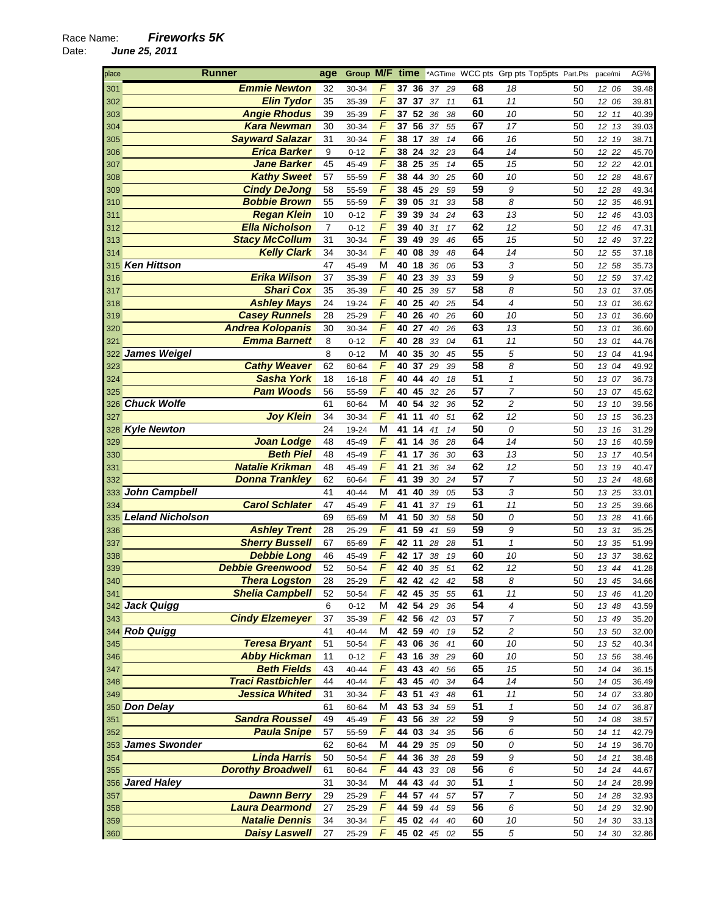| place | <b>Runner</b>            | age            | Group M/F time |                |          |    |       |          |                 | *AGTime WCC pts Grp pts Top5pts Part.Pts |    | pace/mi        | AG%   |
|-------|--------------------------|----------------|----------------|----------------|----------|----|-------|----------|-----------------|------------------------------------------|----|----------------|-------|
| 301   | <b>Emmie Newton</b>      | 32             | 30-34          |                | 37       | 36 | 37    | 29       | 68              | 18                                       | 50 | 12 06          | 39.48 |
| 302   | <b>Elin Tydor</b>        | 35             | 35-39          | $\overline{F}$ | 37       | 37 | 37    | 11       | 61              | 11                                       | 50 | 12<br>06       | 39.81 |
| 303   | <b>Angie Rhodus</b>      | 39             | 35-39          | $\sqrt{2}$     | $37 52$  |    | 36    | 38       | 60              | 10                                       | 50 | 12 11          | 40.39 |
| 304   | <b>Kara Newman</b>       | 30             | 30-34          | $\sqrt{2}$     | 37       | 56 | 37    | 55       | 67              | 17                                       | 50 | 12 13          | 39.03 |
| 305   | <b>Sayward Salazar</b>   | 31             | 30-34          | F              | 38       | 17 | 38    | 14       | 66              | 16                                       | 50 | 12 19          | 38.71 |
| 306   | <b>Erica Barker</b>      | 9              | $0 - 12$       | F              | 38       | 24 | 32    | 23       | 64              | 14                                       | 50 | 12 22          | 45.70 |
| 307   | <b>Jane Barker</b>       | 45             | 45-49          | $\sqrt{2}$     | 38 25    |    | 35    | 14       | 65              | 15                                       | 50 | 12 22          | 42.01 |
| 308   | <b>Kathy Sweet</b>       | 57             | 55-59          | $\sqrt{ }$     | 38 44    |    | 30    | 25       | 60              | 10                                       | 50 | 12 28          | 48.67 |
| 309   | <b>Cindy DeJong</b>      | 58             | 55-59          | $\overline{F}$ | 38       |    | 45 29 | 59       | 59              | 9                                        | 50 | 12 28          | 49.34 |
|       | <b>Bobbie Brown</b>      | 55             |                | F              | 39       | 05 | 31    |          | 58              | 8                                        | 50 |                |       |
| 310   |                          |                | 55-59          | F              |          |    |       | 33       | 63              |                                          |    | 12 35          | 46.91 |
| 311   | <b>Regan Klein</b>       | 10             | $0 - 12$       |                | 39       | 39 | 34    | 24       |                 | 13                                       | 50 | 12 46          | 43.03 |
| 312   | <b>Ella Nicholson</b>    | $\overline{7}$ | $0 - 12$       | $\sqrt{ }$     | 39       | 40 | 31    | 17       | 62              | 12                                       | 50 | 12 46          | 47.31 |
| 313   | <b>Stacy McCollum</b>    | 31             | 30-34          | $\sqrt{2}$     | 39       | 49 | 39    | 46       | 65              | 15                                       | 50 | 12<br>49       | 37.22 |
| 314   | <b>Kelly Clark</b>       | 34             | 30-34          | $\overline{F}$ | 40       | 08 | 39    | 48       | 64              | 14                                       | 50 | 12 55          | 37.18 |
| 315   | <b>Ken Hittson</b>       | 47             | 45-49          | M              | 40       | 18 | 36    | 06       | 53              | 3                                        | 50 | 12 58          | 35.73 |
| 316   | <b>Erika Wilson</b>      | 37             | 35-39          | F              | 40       | 23 | 39    | 33       | 59              | 9                                        | 50 | 12 59          | 37.42 |
| 317   | <b>Shari Cox</b>         | 35             | 35-39          | $\sqrt{2}$     | 40       | 25 | 39    | 57       | $\overline{58}$ | 8                                        | 50 | 13 01          | 37.05 |
| 318   | <b>Ashley Mays</b>       | 24             | 19-24          | $\sqrt{ }$     | 40       | 25 | 40    | 25       | 54              | $\overline{4}$                           | 50 | 13 01          | 36.62 |
| 319   | <b>Casey Runnels</b>     | 28             | 25-29          | $\overline{F}$ | 40 26    |    | 40    | 26       | 60              | 10                                       | 50 | 13 01          | 36.60 |
| 320   | <b>Andrea Kolopanis</b>  | 30             | 30-34          | $\overline{F}$ | 40       | 27 | 40    | 26       | 63              | 13                                       | 50 | 13 01          | 36.60 |
| 321   | <b>Emma Barnett</b>      | 8              | $0 - 12$       | $\sqrt{2}$     | 40       | 28 | 33    | 04       | 61              | 11                                       | 50 | 13 01          | 44.76 |
|       | 322 James Weigel         | 8              | $0 - 12$       | М              | 40       | 35 | 30    | 45       | 55              | 5                                        | 50 | 13 04          | 41.94 |
| 323   | <b>Cathy Weaver</b>      | 62             | 60-64          | $\sqrt{2}$     | 40       | 37 | 29    | 39       | $\overline{58}$ | 8                                        | 50 | 13 04          | 49.92 |
| 324   | <b>Sasha York</b>        | 18             | $16 - 18$      | $\sqrt{2}$     | 40       | 44 | 40    | 18       | $\overline{51}$ | $\mathcal{I}$                            | 50 | 13 07          | 36.73 |
| 325   | <b>Pam Woods</b>         | 56             | 55-59          | $\sqrt{2}$     | 40       | 45 | 32    | 26       | 57              | $\overline{7}$                           | 50 | 13 07          | 45.62 |
|       | 326 Chuck Wolfe          | 61             | 60-64          | M              | 40       | 54 | 32    | 36       | 52              | $\overline{c}$                           | 50 | 13 10          | 39.56 |
| 327   | <b>Joy Klein</b>         | 34             | 30-34          | $\overline{F}$ | 41       | 11 | 40    | 51       | 62              | 12                                       | 50 | 13 15          | 36.23 |
|       | 328 Kyle Newton          | 24             | 19-24          | M              | 41       | 14 | 41    | 14       | 50              | 0                                        | 50 | 13 16          | 31.29 |
| 329   | <b>Joan Lodge</b>        | 48             | 45-49          | $\sqrt{ }$     | 41       | 14 | 36    | 28       | 64              | 14                                       | 50 | 13 16          | 40.59 |
| 330   | <b>Beth Piel</b>         | 48             | 45-49          | $\sqrt{2}$     | 41       | 17 | 36    | 30       | 63              | 13                                       | 50 | 13 17          | 40.54 |
| 331   | <b>Natalie Krikman</b>   | 48             | 45-49          | $\overline{F}$ | 41       | 21 | 36    | 34       | 62              | 12                                       | 50 | 13 19          | 40.47 |
| 332   | <b>Donna Trankley</b>    | 62             | 60-64          | F              | 41       | 39 | 30    | 24       | 57              | 7                                        | 50 | 13 24          | 48.68 |
|       | 333 John Campbell        | 41             | 40-44          | M              | 41       | 40 | 39    | 05       | 53              | 3                                        | 50 | 13 25          | 33.01 |
| 334   | <b>Carol Schlater</b>    | 47             | 45-49          | $\overline{F}$ | 41       | 41 | 37    | 19       | 61              | 11                                       | 50 | 13 25          | 39.66 |
|       | 335 Leland Nicholson     | 69             | 65-69          | M              | 41       | 50 | 30    | 58       | 50              | 0                                        | 50 | 13 28          | 41.66 |
| 336   | <b>Ashley Trent</b>      | 28             | 25-29          | $\sqrt{2}$     | 41       | 59 | 41    | 59       | 59              | 9                                        | 50 | 13 31          | 35.25 |
| 337   | <b>Sherry Bussell</b>    | 67             | 65-69          | $\overline{F}$ | 42       | 11 | 28    | 28       | 51              | $\mathbf{1}$                             | 50 | 13 35          | 51.99 |
| 338   | <b>Debbie Long</b>       | 46             | 45-49          | F              | 42       | 17 | 38    | 19       | 60              | 10                                       | 50 | 13 37          | 38.62 |
| 339   | <b>Debbie Greenwood</b>  | 52             | 50-54          | $\sqrt{ }$     | 42 40    |    | 35    | 51       | 62              | 12                                       | 50 | 13 44          | 41.28 |
| 340   | <b>Thera Logston</b>     | 28             | 25-29          | F              | 42 42    |    | 42    | 42       | 58              | 8                                        | 50 | 13 45          | 34.66 |
| 341   | <b>Shelia Campbell</b>   | 52             | 50-54          | F              | 42 45    |    | 35    | 55       | 61              | 11                                       | 50 | 13 46          | 41.20 |
|       | 342 Jack Quigg           | 6              | $0 - 12$       | M              | 42 54 29 |    |       | 36       | 54              | 4                                        | 50 | 13 48          | 43.59 |
| 343   | <b>Cindy Elzemeyer</b>   | 37             | 35-39          | F              | 42 56 42 |    |       | 03       | 57              | 7                                        | 50 | 13 49          | 35.20 |
|       | 344 Rob Quigg            | 41             | 40-44          | М              | 42 59 40 |    |       | 19       | 52              | 2                                        | 50 | 13 50          | 32.00 |
| 345   | <b>Teresa Bryant</b>     | 51             | 50-54          | F              | 43 06 36 |    |       | 41       | 60              | 10                                       | 50 | 13 52          | 40.34 |
| 346   | <b>Abby Hickman</b>      | 11             | $0 - 12$       | F              | 43 16 38 |    |       | 29       | 60              | 10                                       | 50 | 13 56          | 38.46 |
| 347   | <b>Beth Fields</b>       | 43             | 40-44          | F              | 43 43 40 |    |       | 56       | 65              | 15                                       | 50 | 14 04          | 36.15 |
| 348   | <b>Traci Rastbichler</b> | 44             | 40-44          | $\sqrt{2}$     | 43 45 40 |    |       | 34       | 64              | 14                                       | 50 | 14 05          | 36.49 |
| 349   | <b>Jessica Whited</b>    | 31             | 30-34          | F              | 43 51    |    | 43    | 48       | 61              | 11                                       | 50 | 14 07          | 33.80 |
|       | 350 Don Delay            | 61             |                | M              | 43 53 34 |    |       |          | 51              | 1                                        | 50 |                |       |
| 351   | <b>Sandra Roussel</b>    | 49             | 60-64<br>45-49 | F              | 43 56    |    | 38    | 59<br>22 | 59              | 9                                        | 50 | 14 07<br>14 08 | 36.87 |
|       |                          |                |                | F              |          |    |       |          | 56              | 6                                        |    |                | 38.57 |
| 352   | <b>Paula Snipe</b>       | 57             | 55-59          |                | 44 03    |    | 34    | 35       | 50              |                                          | 50 | 14 11          | 42.79 |
|       | 353 James Swonder        | 62             | 60-64          | М              | 44 29 35 |    |       | 09       |                 | 0                                        | 50 | 14 19          | 36.70 |
| 354   | <b>Linda Harris</b>      | 50             | 50-54          | F              | 44 36 38 |    |       | 28       | 59              | 9                                        | 50 | 14 21          | 38.48 |
| 355   | <b>Dorothy Broadwell</b> | 61             | 60-64          | F              | 44 43 33 |    |       | 08       | 56              | 6                                        | 50 | 14 24          | 44.67 |
|       | 356 Jared Haley          | 31             | 30-34          | M              | 44 43    |    | 44    | 30       | 51              | $\pmb{\mathcal{1}}$                      | 50 | 14 24          | 28.99 |
| 357   | <b>Dawnn Berry</b>       | 29             | 25-29          | F              | 44 57    |    | 44    | 57       | 57              | 7                                        | 50 | 14 28          | 32.93 |
| 358   | <b>Laura Dearmond</b>    | 27             | 25-29          | $\sqrt{2}$     | 44 59 44 |    |       | 59       | 56              | 6                                        | 50 | 14 29          | 32.90 |
| 359   | <b>Natalie Dennis</b>    | 34             | 30-34          | $\overline{F}$ | 45 02 44 |    |       | 40       | 60              | 10                                       | 50 | 14 30          | 33.13 |
| 360   | <b>Daisy Laswell</b>     | 27             | 25-29          | F              | 45 02 45 |    |       | 02       | 55              | 5                                        | 50 | 14 30          | 32.86 |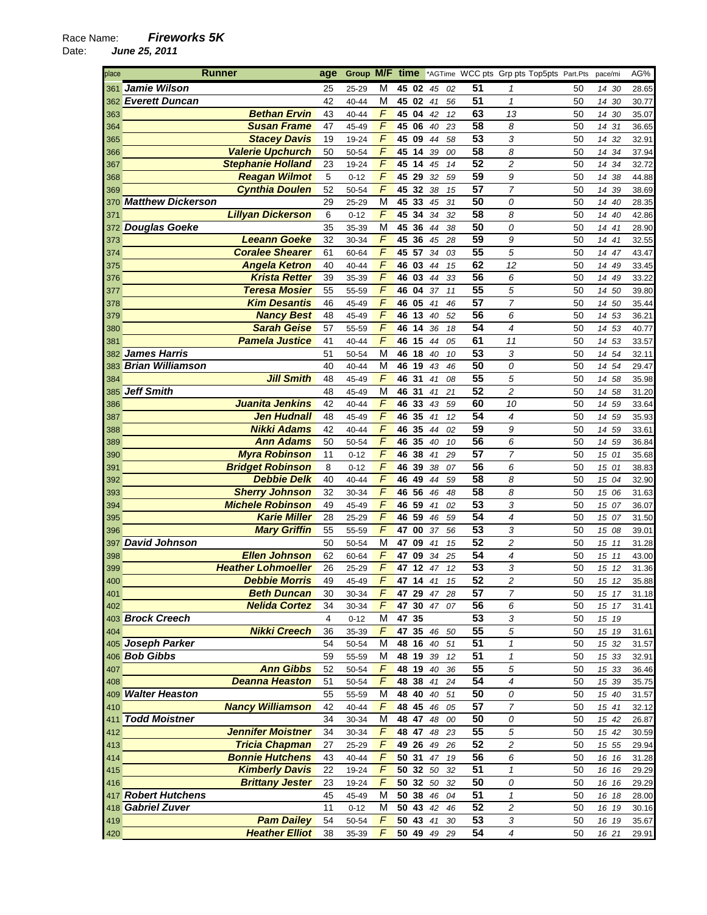| place      | <b>Runner</b>                                    | age      | Group M/F time |                     |                |          |          |          |                 | *AGTime WCC pts Grp pts Top5pts Part.Pts |          | pace/mi        | AG%            |
|------------|--------------------------------------------------|----------|----------------|---------------------|----------------|----------|----------|----------|-----------------|------------------------------------------|----------|----------------|----------------|
| 361        | Jamie Wilson                                     | 25       | 25-29          | м                   | 45 02          |          | 45       | 02       | 51              | 1                                        | 50       | 14 30          | 28.65          |
|            | 362 Everett Duncan                               | 42       | 40-44          | M                   | 45 02          |          | 41       | 56       | 51              | $\mathbf{1}$                             | 50       | 14 30          | 30.77          |
| 363        | <b>Bethan Ervin</b>                              | 43       | 40-44          | F                   | 45 04          |          | 42       | 12       | 63              | 13                                       | 50       | 14 30          | 35.07          |
| 364        | <b>Susan Frame</b>                               | 47       | 45-49          | $\sqrt{ }$          | 45 06          |          | 40       | 23       | 58              | 8                                        | 50       | 14 31          | 36.65          |
| 365        | <b>Stacey Davis</b>                              | 19       | 19-24          | F                   | 45 09          |          | 44       | 58       | 53              | 3                                        | 50       | 14 32          | 32.91          |
| 366        | <b>Valerie Upchurch</b>                          | 50       | 50-54          | F                   | 45 14          |          | 39       | 00       | 58              | 8                                        | 50       | 14 34          | 37.94          |
| 367        | <b>Stephanie Holland</b>                         | 23       | 19-24          | F                   | 45 14          |          | 45       | 14       | 52              | 2                                        | 50       | 14 34          | 32.72          |
| 368        | <b>Reagan Wilmot</b>                             | 5        | $0 - 12$       | F                   | 45             | 29       | 32       | 59       | 59              | 9                                        | 50       | 14 38          | 44.88          |
| 369        | <b>Cynthia Doulen</b>                            | 52       | 50-54          | $\overline{F}$      | 45             | 32       | 38       | 15       | 57              | $\overline{7}$                           | 50       | 14 39          | 38.69          |
| 370        | <b>Matthew Dickerson</b>                         | 29       | 25-29          | M                   | 45 33          |          | 45       | 31       | 50              | 0                                        | 50       | 14 40          | 28.35          |
| 371        | <b>Lillyan Dickerson</b>                         | 6        | $0 - 12$       | F                   | 45             | 34       | 34       | 32       | 58              | 8                                        | 50       | 14 40          | 42.86          |
| 372        | <b>Douglas Goeke</b>                             | 35       | 35-39          | М                   | 45 36          |          | 44       | 38       | 50              | 0                                        | 50       | 14 41          | 28.90          |
| 373        | <b>Leeann Goeke</b>                              | 32       | 30-34          | F                   | 45 36          |          | 45       | 28       | 59              | 9                                        | 50       | 14 41          | 32.55          |
| 374        | <b>Coralee Shearer</b>                           | 61       | 60-64          | F                   | 45 57          |          | 34       | 03       | 55              | 5                                        | 50       | 14 47          | 43.47          |
| 375        | <b>Angela Ketron</b>                             | 40       | 40-44          | $\sqrt{2}$          | 46 03          |          | 44       | 15       | 62              | 12                                       | 50       | 14 49          | 33.45          |
| 376        | <b>Krista Retter</b>                             | 39       | 35-39          | $\sqrt{2}$          | 46 03          |          | 44       | 33       | 56              | 6                                        | 50       | 14 49          | 33.22          |
| 377        | <b>Teresa Mosier</b>                             | 55       | 55-59          | F                   | 46 04          |          | 37       | 11       | 55              | 5                                        | 50       | 14 50          | 39.80          |
| 378        | <b>Kim Desantis</b>                              | 46       | 45-49          | F                   | 46 05          |          | 41       | 46       | 57              | 7                                        | 50       | 14 50          | 35.44          |
| 379        | <b>Nancy Best</b>                                | 48       | 45-49          | $\sqrt{ }$          | 46 13          |          | 40       | 52       | 56              | 6                                        | 50       | 14 53          | 36.21          |
| 380        | <b>Sarah Geise</b>                               | 57       | 55-59          | $\overline{F}$      | 46             | 14       | 36       | 18       | 54              | 4                                        | 50       | 14 53          | 40.77          |
| 381        | <b>Pamela Justice</b>                            | 41       | 40-44          | $\sqrt{ }$          | 46 15          |          | 44       | 05       | 61              | 11                                       | 50       | 14 53          | 33.57          |
| 382        | <b>James Harris</b>                              | 51       | 50-54          | М                   | 46 18          |          | 40       | 10       | 53              | 3                                        | 50       | 14 54          | 32.11          |
| 383        | <b>Brian Williamson</b>                          | 40       | 40-44          | М                   | 46 19          |          | 43       | 46       | 50              | 0                                        | 50       | 14 54          | 29.47          |
| 384        | <b>Jill Smith</b>                                | 48       | 45-49          | F                   | 46 31          |          | 41       | 08       | $\overline{55}$ | 5                                        | 50       | 14 58          | 35.98          |
| 385        | <b>Jeff Smith</b>                                | 48       | 45-49          | M                   | 46             | 31       | 41       | 21       | 52              | $\overline{c}$                           | 50       | 14 58          | 31.20          |
| 386        | Juanita Jenkins                                  | 42       | 40-44          | $\sqrt{ }$          | 46             | 33       | 43       | 59       | 60              | 10                                       | 50       | 14 59          | 33.64          |
| 387        | <b>Jen Hudnall</b>                               | 48       | 45-49          | $\overline{F}$      | 46             | 35       | 41       | 12       | 54              | 4                                        | 50       | 14 59          | 35.93          |
| 388        | <b>Nikki Adams</b>                               | 42       | 40-44          | F                   | 46 35          |          | 44       | 02       | 59              | 9                                        | 50       | 14 59          | 33.61          |
| 389        | <b>Ann Adams</b>                                 | 50       | 50-54          | F                   | 46 35          |          | 40       | 10       | 56              | 6                                        | 50       | 14 59          | 36.84          |
| 390        | <b>Myra Robinson</b>                             | 11       | $0 - 12$       | F                   | 46             | 38       | 41       | 29       | $\overline{57}$ | 7                                        | 50       | 15 01          | 35.68          |
| 391        | <b>Bridget Robinson</b>                          | 8        | $0 - 12$       | $\overline{F}$<br>F | 46             | 39       | 38       | 07       | 56              | 6                                        | 50       | 15 01          | 38.83          |
| 392        | <b>Debbie Delk</b>                               | 40       | 40-44          | F                   | 46 49<br>46 56 |          | 44       | 59       | 58<br>58        | 8                                        | 50       | 15 04          | 32.90          |
| 393        | <b>Sherry Johnson</b><br><b>Michele Robinson</b> | 32       | 30-34          | F                   | 46 59          |          | 46       | 48       | 53              | 8<br>3                                   | 50       | 15 06          | 31.63          |
| 394        | <b>Karie Miller</b>                              | 49<br>28 | 45-49          | F                   | 46 59          |          | 41<br>46 | 02<br>59 | 54              | 4                                        | 50<br>50 | 15 07          | 36.07          |
| 395        | <b>Mary Griffin</b>                              | 55       | 25-29          | F                   | 47             | 00       | 37       | 56       | 53              | 3                                        | 50       | 15 07          | 31.50          |
| 396<br>397 | <b>David Johnson</b>                             | 50       | 55-59<br>50-54 | M                   | 47 09          |          | 41       | 15       | 52              | 2                                        | 50       | 15 08<br>15 11 | 39.01<br>31.28 |
| 398        | <b>Ellen Johnson</b>                             | 62       | 60-64          | $\sqrt{2}$          | 47 09          |          | 34       | 25       | 54              | 4                                        | 50       | 15 11          | 43.00          |
| 399        | <b>Heather Lohmoeller</b>                        | 26       | 25-29          | F                   | 47 12          |          | 47       | 12       | 53              | 3                                        | 50       | 15 12          | 31.36          |
| 400        | <b>Debbie Morris</b>                             | 49       | 45-49          | F                   | 47 14          |          | 41       | 15       | 52              | 2                                        | 50       | 15 12          | 35.88          |
| 401        | <b>Beth Duncan</b>                               | 30       | 30-34          | F.                  | 47 29 47 28    |          |          |          | 57              | 7                                        | 50       | 15 17          | 31.18          |
| 402        | <b>Nelida Cortez</b>                             | 34       | 30-34          | F                   |                | 47 30 47 |          | 07       | 56              | 6                                        | 50       | 15 17          | 31.41          |
|            | 403 Brock Creech                                 | 4        | $0 - 12$       | M                   | 47 35          |          |          |          | 53              | 3                                        | 50       | 15 19          |                |
| 404        | <b>Nikki Creech</b>                              | 36       | 35-39          | F                   | 47 35 46       |          |          | 50       | 55              | 5                                        | 50       | 15 19          | 31.61          |
|            | 405 Joseph Parker                                | 54       | 50-54          | M                   | 48 16          |          | 40       | 51       | 51              | $\mathbf{1}$                             | 50       | 15 32          | 31.57          |
|            | 406 Bob Gibbs                                    | 59       | 55-59          | М                   |                | 48 19 39 |          | 12       | 51              | $\mathbf{1}$                             | 50       | 15 33          | 32.91          |
| 407        | <b>Ann Gibbs</b>                                 | 52       | 50-54          | F                   |                | 48 19 40 |          | 36       | $\overline{55}$ | 5                                        | 50       | 15 33          | 36.46          |
| 408        | <b>Deanna Heaston</b>                            | 51       | 50-54          | F                   | 48 38          |          | 41       | 24       | 54              | 4                                        | 50       | 15 39          | 35.75          |
|            | 409 Walter Heaston                               | 55       | 55-59          | M                   |                | 48 40 40 |          | 51       | 50              | 0                                        | 50       | 15 40          | 31.57          |
| 410        | <b>Nancy Williamson</b>                          | 42       | 40-44          | F                   | 48 45          |          | 46       | 05       | 57              | 7                                        | 50       | 15 41          | 32.12          |
|            | 411 Todd Moistner                                | 34       | 30-34          | M                   |                | 48 47 48 |          | 00       | 50              | 0                                        | 50       | 15 42          | 26.87          |
| 412        | <b>Jennifer Moistner</b>                         | 34       | 30-34          | F                   |                | 48 47 48 |          | 23       | $\overline{55}$ | 5                                        | 50       | 15 42          | 30.59          |
| 413        | <b>Tricia Chapman</b>                            | 27       | 25-29          | F                   |                | 49 26 49 |          | 26       | $\overline{52}$ | 2                                        | 50       | 15 55          | 29.94          |
| 414        | <b>Bonnie Hutchens</b>                           | 43       | 40-44          | F                   |                | 50 31 47 |          | 19       | 56              | 6                                        | 50       | 16 16          | 31.28          |
| 415        | <b>Kimberly Davis</b>                            | 22       | 19-24          | F                   |                | 50 32 50 |          | 32       | 51              | $\mathbf{1}$                             | 50       | 16 16          | 29.29          |
| 416        | <b>Brittany Jester</b>                           | 23       | 19-24          | F                   |                | 50 32 50 |          | 32       | 50              | 0                                        | 50       | 16 16          | 29.29          |
|            | 417 Robert Hutchens                              | 45       | 45-49          | М                   |                | 50 38 46 |          | 04       | 51              | $\mathbf{1}$                             | 50       | 16 18          | 28.00          |
|            | 418 Gabriel Zuver                                | 11       | $0 - 12$       | M                   |                | 50 43 42 |          | 46       | 52              | 2                                        | 50       | 16 19          | 30.16          |
| 419        | <b>Pam Dailey</b>                                | 54       | 50-54          | F                   |                | 50 43 41 |          | 30       | 53              | 3                                        | 50       | 16 19          | 35.67          |
| 420        | <b>Heather Elliot</b>                            | 38       | 35-39          | F                   |                | 50 49 49 |          | 29       | 54              | 4                                        | 50       | 16 21          | 29.91          |